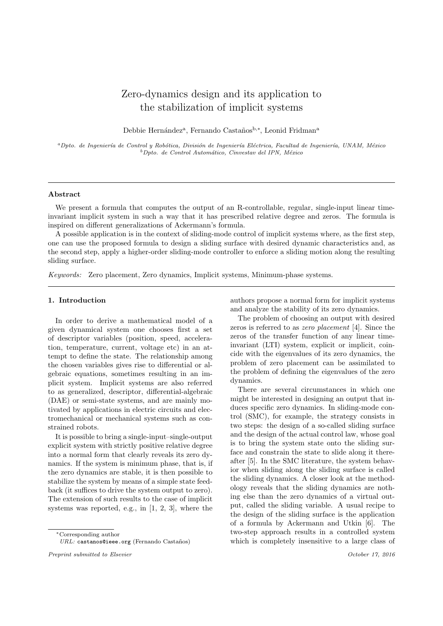# Zero-dynamics design and its application to the stabilization of implicit systems

Debbie Hernández<sup>a</sup>, Fernando Castaños<sup>b,∗</sup>, Leonid Fridman<sup>a</sup>

 ${}^a$ Dpto. de Ingeniería de Control y Robótica, División de Ingeniería Eléctrica, Facultad de Ingeniería, UNAM, México  $b$ Dpto. de Control Automático, Cinvestav del IPN, México

## Abstract

We present a formula that computes the output of an R-controllable, regular, single-input linear timeinvariant implicit system in such a way that it has prescribed relative degree and zeros. The formula is inspired on different generalizations of Ackermann's formula.

A possible application is in the context of sliding-mode control of implicit systems where, as the first step, one can use the proposed formula to design a sliding surface with desired dynamic characteristics and, as the second step, apply a higher-order sliding-mode controller to enforce a sliding motion along the resulting sliding surface.

Keywords: Zero placement, Zero dynamics, Implicit systems, Minimum-phase systems.

## 1. Introduction

In order to derive a mathematical model of a given dynamical system one chooses first a set of descriptor variables (position, speed, acceleration, temperature, current, voltage etc) in an attempt to define the state. The relationship among the chosen variables gives rise to differential or algebraic equations, sometimes resulting in an implicit system. Implicit systems are also referred to as generalized, descriptor, differential-algebraic (DAE) or semi-state systems, and are mainly motivated by applications in electric circuits and electromechanical or mechanical systems such as constrained robots.

It is possible to bring a single-input–single-output explicit system with strictly positive relative degree into a normal form that clearly reveals its zero dynamics. If the system is minimum phase, that is, if the zero dynamics are stable, it is then possible to stabilize the system by means of a simple state feedback (it suffices to drive the system output to zero). The extension of such results to the case of implicit systems was reported, e.g., in [1, 2, 3], where the

authors propose a normal form for implicit systems and analyze the stability of its zero dynamics.

The problem of choosing an output with desired zeros is referred to as zero placement [4]. Since the zeros of the transfer function of any linear timeinvariant (LTI) system, explicit or implicit, coincide with the eigenvalues of its zero dynamics, the problem of zero placement can be assimilated to the problem of defining the eigenvalues of the zero dynamics.

There are several circumstances in which one might be interested in designing an output that induces specific zero dynamics. In sliding-mode control (SMC), for example, the strategy consists in two steps: the design of a so-called sliding surface and the design of the actual control law, whose goal is to bring the system state onto the sliding surface and constrain the state to slide along it thereafter [5]. In the SMC literature, the system behavior when sliding along the sliding surface is called the sliding dynamics. A closer look at the methodology reveals that the sliding dynamics are nothing else than the zero dynamics of a virtual output, called the sliding variable. A usual recipe to the design of the sliding surface is the application of a formula by Ackermann and Utkin [6]. The two-step approach results in a controlled system which is completely insensitive to a large class of

<sup>∗</sup>Corresponding author

 $URL:$  castanos@ieee.org (Fernando Castaños)

Preprint submitted to Elsevier Contact the Service of the Service of the Service of the Service of the Service of the Service of the Service of the Service of the Service of the Service of the Service of the Service of the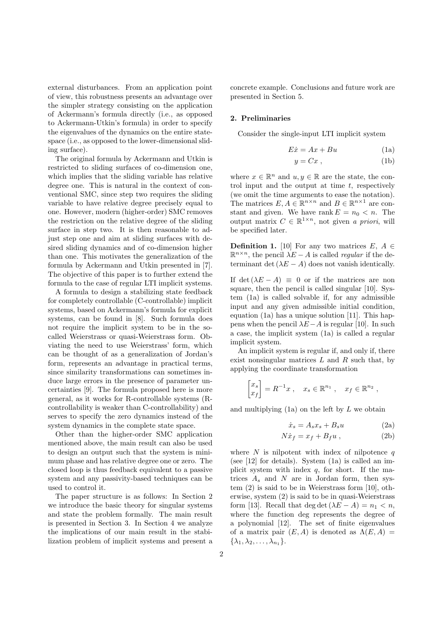external disturbances. From an application point of view, this robustness presents an advantage over the simpler strategy consisting on the application of Ackermann's formula directly (i.e., as opposed to Ackermann-Utkin's formula) in order to specify the eigenvalues of the dynamics on the entire statespace (i.e., as opposed to the lower-dimensional sliding surface).

The original formula by Ackermann and Utkin is restricted to sliding surfaces of co-dimension one, which implies that the sliding variable has relative degree one. This is natural in the context of conventional SMC, since step two requires the sliding variable to have relative degree precisely equal to one. However, modern (higher-order) SMC removes the restriction on the relative degree of the sliding surface in step two. It is then reasonable to adjust step one and aim at sliding surfaces with desired sliding dynamics and of co-dimension higher than one. This motivates the generalization of the formula by Ackermann and Utkin presented in [7]. The objective of this paper is to further extend the formula to the case of regular LTI implicit systems.

A formula to design a stabilizing state feedback for completely controllable (C-controllable) implicit systems, based on Ackermann's formula for explicit systems, can be found in [8]. Such formula does not require the implicit system to be in the socalled Weierstrass or quasi-Weierstrass form. Obviating the need to use Weierstrass' form, which can be thought of as a generalization of Jordan's form, represents an advantage in practical terms, since similarity transformations can sometimes induce large errors in the presence of parameter uncertainties [9]. The formula proposed here is more general, as it works for R-controllable systems (Rcontrollability is weaker than C-controllability) and serves to specify the zero dynamics instead of the system dynamics in the complete state space.

Other than the higher-order SMC application mentioned above, the main result can also be used to design an output such that the system is minimum phase and has relative degree one or zero. The closed loop is thus feedback equivalent to a passive system and any passivity-based techniques can be used to control it.

The paper structure is as follows: In Section 2 we introduce the basic theory for singular systems and state the problem formally. The main result is presented in Section 3. In Section 4 we analyze the implications of our main result in the stabilization problem of implicit systems and present a concrete example. Conclusions and future work are presented in Section 5.

### 2. Preliminaries

Consider the single-input LTI implicit system

$$
E\dot{x} = Ax + Bu \tag{1a}
$$

$$
y = Cx \t{,} \t(1b)
$$

where  $x \in \mathbb{R}^n$  and  $u, y \in \mathbb{R}$  are the state, the control input and the output at time  $t$ , respectively (we omit the time arguments to ease the notation). The matrices  $E, A \in \mathbb{R}^{n \times n}$  and  $B \in \mathbb{R}^{n \times 1}$  are constant and given. We have rank  $E = n_0 < n$ . The output matrix  $C \in \mathbb{R}^{1 \times n}$ , not given a priori, will be specified later.

**Definition 1.** [10] For any two matrices  $E, A \in$  $\mathbb{R}^{n \times n}$ , the pencil  $\lambda E - A$  is called *regular* if the determinant det  $(\lambda E - A)$  does not vanish identically.

If det  $(\lambda E - A) \equiv 0$  or if the matrices are non square, then the pencil is called singular [10]. System (1a) is called solvable if, for any admissible input and any given admissible initial condition, equation (1a) has a unique solution [11]. This happens when the pencil  $\lambda E-A$  is regular [10]. In such a case, the implicit system (1a) is called a regular implicit system.

An implicit system is regular if, and only if, there exist nonsingular matrices  $L$  and  $R$  such that, by applying the coordinate transformation

$$
\begin{bmatrix} x_s \\ x_f \end{bmatrix} = R^{-1}x \ , \quad x_s \in \mathbb{R}^{n_1} \ , \quad x_f \in \mathbb{R}^{n_2} \ ,
$$

and multiplying  $(1a)$  on the left by  $L$  we obtain

$$
\dot{x}_s = A_s x_s + B_s u \tag{2a}
$$

$$
N\dot{x}_f = x_f + B_f u \,, \tag{2b}
$$

where  $N$  is nilpotent with index of nilpotence  $q$ (see [12] for details). System (1a) is called an implicit system with index  $q$ , for short. If the matrices  $A_s$  and N are in Jordan form, then system (2) is said to be in Weierstrass form [10], otherwise, system (2) is said to be in quasi-Weierstrass form [13]. Recall that deg det  $(\lambda E - A) = n_1 < n$ , where the function deg represents the degree of a polynomial [12]. The set of finite eigenvalues of a matrix pair  $(E, A)$  is denoted as  $\Lambda(E, A)$  =  $\{\lambda_1, \lambda_2, \ldots, \lambda_{n_1}\}.$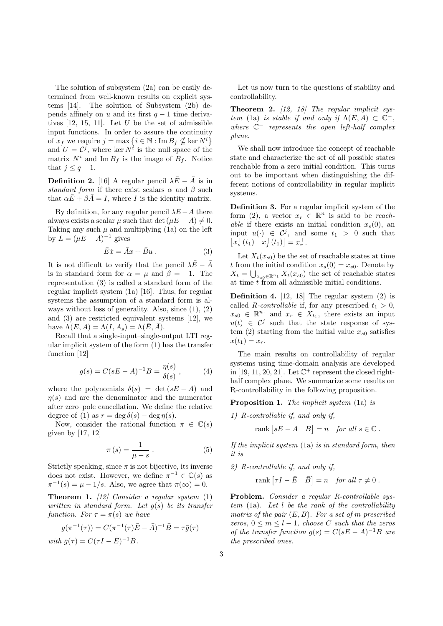The solution of subsystem (2a) can be easily determined from well-known results on explicit systems [14]. The solution of Subsystem (2b) depends affinely on u and its first  $q - 1$  time derivatives  $[12, 15, 11]$ . Let U be the set of admissible input functions. In order to assure the continuity of  $x_f$  we require  $j = \max\left\{i \in \mathbb{N} : \text{Im } B_f \nsubseteq \text{ker } N^i\right\}$ and  $U = C<sup>j</sup>$ , where ker  $N<sup>i</sup>$  is the null space of the matrix  $N^i$  and Im  $B_f$  is the image of  $B_f$ . Notice that  $j \leq q-1$ .

**Definition 2.** [16] A regular pencil  $\lambda \bar{E} - \bar{A}$  is in standard form if there exist scalars  $\alpha$  and  $\beta$  such that  $\alpha \bar{E} + \beta \bar{A} = I$ , where I is the identity matrix.

By definition, for any regular pencil  $\lambda E-A$  there always exists a scalar  $\mu$  such that det  $(\mu E - A) \neq 0$ . Taking any such  $\mu$  and multiplying (1a) on the left by  $L = (\mu E - A)^{-1}$  gives

$$
\bar{E}\dot{x} = \bar{A}x + \bar{B}u . \tag{3}
$$

It is not difficult to verify that the pencil  $\lambda \bar{E} - \bar{A}$ is in standard form for  $\alpha = \mu$  and  $\beta = -1$ . The representation (3) is called a standard form of the regular implicit system (1a) [16]. Thus, for regular systems the assumption of a standard form is always without loss of generality. Also, since (1), (2) and (3) are restricted equivalent systems [12], we have  $\Lambda(E, A) = \Lambda(I, A_s) = \Lambda(E, \overline{A}).$ 

Recall that a single-input–single-output LTI regular implicit system of the form (1) has the transfer function [12]

$$
g(s) = C(sE - A)^{-1}B = \frac{\eta(s)}{\delta(s)},
$$
 (4)

where the polynomials  $\delta(s) = \det(sE - A)$  and  $\eta(s)$  and are the denominator and the numerator after zero–pole cancellation. We define the relative degree of (1) as  $r = \deg \delta(s) - \deg \eta(s)$ .

Now, consider the rational function  $\pi \in \mathbb{C}(s)$ given by [17, 12]

$$
\pi(s) = \frac{1}{\mu - s} \,. \tag{5}
$$

Strictly speaking, since  $\pi$  is not bijective, its inverse does not exist. However, we define  $\pi^{-1} \in \mathbb{C}(s)$  as  $\pi^{-1}(s) = \mu - 1/s$ . Also, we agree that  $\pi(\infty) = 0$ .

**Theorem 1.** [12] Consider a regular system  $(1)$ written in standard form. Let  $g(s)$  be its transfer function. For  $\tau = \pi(s)$  we have

$$
g(\pi^{-1}(\tau)) = C(\pi^{-1}(\tau)\bar{E} - \bar{A})^{-1}\bar{B} = \tau\bar{g}(\tau)
$$
  
with  $\bar{g}(\tau) = C(\tau I - \bar{E})^{-1}\bar{B}$ .

Let us now turn to the questions of stability and controllability.

**Theorem 2.**  $[12, 18]$  The regular implicit system (1a) is stable if and only if  $\Lambda(E, A) \subset \mathbb{C}^-$ , where  $\mathbb{C}^-$  represents the open left-half complex plane.

We shall now introduce the concept of reachable state and characterize the set of all possible states reachable from a zero initial condition. This turns out to be important when distinguishing the different notions of controllability in regular implicit systems.

Definition 3. For a regular implicit system of the form (2), a vector  $x_r \in \mathbb{R}^n$  is said to be reach*able* if there exists an initial condition  $x_s(0)$ , an input  $u(\cdot) \in \mathcal{C}^j$ , and some  $t_1 > 0$  such that  $\left[x_s^{\top}(t_1) \quad x_f^{\top}(t_1)\right] = x_r^{\top}.$ 

Let  $X_t(x_{s0})$  be the set of reachable states at time t from the initial condition  $x_s(0) = x_{s0}$ . Denote by  $X_t = \bigcup_{x_{s0} \in \mathbb{R}^{n_1}} X_t(x_{s0})$  the set of reachable states at time  $t$  from all admissible initial conditions.

Definition 4. [12, 18] The regular system (2) is called R-controllable if, for any prescribed  $t_1 > 0$ ,  $x_{s0} \in \mathbb{R}^{n_1}$  and  $x_r \in X_{t_1}$ , there exists an input  $u(t) \in C^j$  such that the state response of system (2) starting from the initial value  $x_{s0}$  satisfies  $x(t_1) = x_r.$ 

The main results on controllability of regular systems using time-domain analysis are developed in [19, 11, 20, 21]. Let  $\bar{\mathbb{C}}^+$  represent the closed righthalf complex plane. We summarize some results on R-controllability in the following proposition.

Proposition 1. The implicit system (1a) is

1) R-controllable if, and only if,

rank  $[sE - A \quad B] = n \quad \text{for all } s \in \mathbb{C}.$ 

If the implicit system (1a) is in standard form, then it is

2) R-controllable if, and only if,

rank  $[\tau I - \bar{E} \quad \bar{B}] = n$  for all  $\tau \neq 0$ .

Problem. Consider a regular R-controllable sys $tem$  (1a). Let  $l$  be the rank of the controllability matrix of the pair  $(E, B)$ . For a set of m prescribed zeros,  $0 \leq m \leq l-1$ , choose C such that the zeros of the transfer function  $g(s) = C(sE - A)^{-1}B$  are the prescribed ones.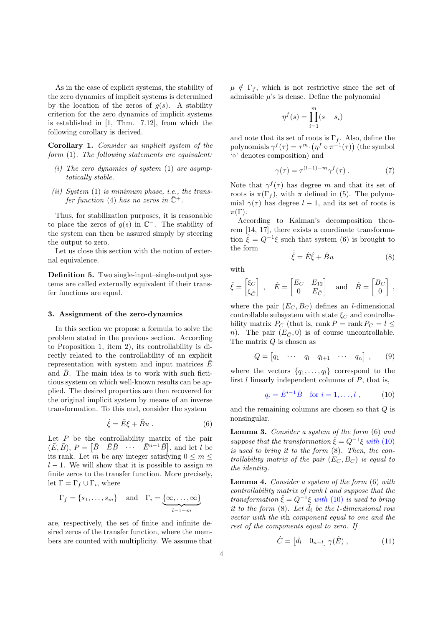As in the case of explicit systems, the stability of the zero dynamics of implicit systems is determined by the location of the zeros of  $g(s)$ . A stability criterion for the zero dynamics of implicit systems is established in [1, Thm. 7.12], from which the following corollary is derived.

Corollary 1. Consider an implicit system of the form (1). The following statements are equivalent:

- (i) The zero dynamics of system  $(1)$  are asymptotically stable.
- (ii) System  $(1)$  is minimum phase, i.e., the transfer function (4) has no zeros in  $\bar{\mathbb{C}}^+$ .

Thus, for stabilization purposes, it is reasonable to place the zeros of  $g(s)$  in  $\mathbb{C}^-$ . The stability of the system can then be assured simply by steering the output to zero.

Let us close this section with the notion of external equivalence.

Definition 5. Two single-input–single-output systems are called externally equivalent if their transfer functions are equal.

### 3. Assignment of the zero-dynamics

In this section we propose a formula to solve the problem stated in the previous section. According to Proposition 1, item 2), its controllability is directly related to the controllability of an explicit representation with system and input matrices  $E$ and  $\bar{B}$ . The main idea is to work with such fictitious system on which well-known results can be applied. The desired properties are then recovered for the original implicit system by means of an inverse transformation. To this end, consider the system

$$
\dot{\xi} = \bar{E}\xi + \bar{B}u . \tag{6}
$$

Let  $P$  be the controllability matrix of the pair  $(\bar{E}, \bar{B}), P = [\bar{B} \quad \bar{E} \bar{B} \quad \cdots \quad \bar{E}^{n-1} \bar{B}],$  and let l be its rank. Let m be any integer satisfying  $0 \le m \le$  $l-1$ . We will show that it is possible to assign m finite zeros to the transfer function. More precisely, let  $\Gamma = \Gamma_f \cup \Gamma_i$ , where

$$
\Gamma_f = \{s_1, \ldots, s_m\}
$$
 and  $\Gamma_i = \underbrace{\{\infty, \ldots, \infty\}}_{l-1-m}$ 

are, respectively, the set of finite and infinite desired zeros of the transfer function, where the members are counted with multiplicity. We assume that  $\mu \notin \Gamma_f$ , which is not restrictive since the set of admissible  $\mu$ 's is dense. Define the polynomial

$$
\eta^f(s) = \prod_{i=1}^m (s - s_i)
$$

and note that its set of roots is  $\Gamma_f$ . Also, define the polynomials  $\gamma^f(\tau) = \tau^m \cdot (\eta^f \circ \pi^{-1}(\tau))$  (the symbol '◦' denotes composition) and

$$
\gamma(\tau) = \tau^{(l-1)-m} \gamma^f(\tau) . \tag{7}
$$

Note that  $\gamma^f(\tau)$  has degree m and that its set of roots is  $\pi(\Gamma_f)$ , with  $\pi$  defined in (5). The polynomial  $\gamma(\tau)$  has degree  $l-1$ , and its set of roots is  $\pi(\Gamma)$ .

According to Kalman's decomposition theorem [14, 17], there exists a coordinate transformation  $\hat{\xi} = Q^{-1}\xi$  such that system (6) is brought to the form

$$
\dot{\hat{\xi}} = \hat{E}\hat{\xi} + \hat{B}u \tag{8}
$$

with

$$
\hat{\xi} = \begin{bmatrix} \xi_C \\ \xi_{\hat{C}} \end{bmatrix}
$$
,  $\hat{E} = \begin{bmatrix} E_C & E_{12} \\ 0 & E_{\bar{C}} \end{bmatrix}$  and  $\hat{B} = \begin{bmatrix} B_C \\ 0 \end{bmatrix}$ ,

where the pair  $(E_C, B_C)$  defines an *l*-dimensional controllable subsystem with state  $\xi_C$  and controllability matrix  $P_C$  (that is, rank  $P = \text{rank } P_C = l \leq$ n). The pair  $(E_{\bar{C}}, 0)$  is of course uncontrollable. The matrix  $Q$  is chosen as

$$
Q = \begin{bmatrix} q_1 & \cdots & q_l & q_{l+1} & \cdots & q_n \end{bmatrix}, \qquad (9)
$$

where the vectors  $\{q_1, \ldots, q_l\}$  correspond to the first  $l$  linearly independent columns of  $P$ , that is,

$$
q_i = \bar{E}^{i-1} \bar{B}
$$
 for  $i = 1, ..., l$ , (10)

and the remaining columns are chosen so that  $Q$  is nonsingular.

Lemma 3. Consider a system of the form  $(6)$  and suppose that the transformation  $\hat{\xi} = Q^{-1}\xi$  with (10) is used to bring it to the form (8). Then, the controllability matrix of the pair  $(E_C, B_C)$  is equal to the identity.

Lemma 4. Consider a system of the form (6) with controllability matrix of rank l and suppose that the transformation  $\hat{\xi} = Q^{-1}\xi$  with (10) is used to bring it to the form  $(8)$ . Let  $\tilde{d}_i$  be the l-dimensional row vector with the ith component equal to one and the rest of the components equal to zero. If

$$
\hat{C} = \begin{bmatrix} \bar{d}_l & 0_{n-l} \end{bmatrix} \gamma(\hat{E}) , \qquad (11)
$$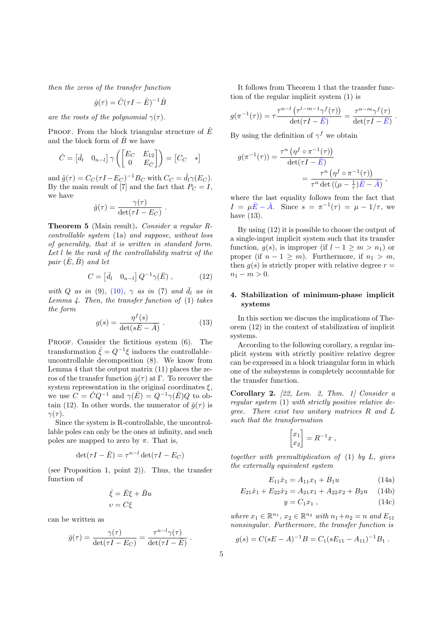then the zeros of the transfer function

$$
\hat{g}(\tau) = \hat{C}(\tau I - \hat{E})^{-1} \hat{B}
$$

are the roots of the polynomial  $\gamma(\tau)$ .

PROOF. From the block triangular structure of  $\hat{E}$ and the block form of  $\hat{B}$  we have

$$
\hat{C} = \begin{bmatrix} \bar{d}_l & 0_{n-l} \end{bmatrix} \gamma \left( \begin{bmatrix} E_C & E_{12} \\ 0 & E_{\bar{C}} \end{bmatrix} \right) = \begin{bmatrix} C_C & * \end{bmatrix}
$$

and  $\hat{g}(\tau) = C_C(\tau I - E_C)^{-1} B_C$  with  $C_C = \bar{d}_l \gamma(E_C)$ . By the main result of [7] and the fact that  $P_C = I$ , we have

$$
\hat{g}(\tau) = \frac{\gamma(\tau)}{\det(\tau I - E_C)}.
$$

Theorem 5 (Main result). Consider a regular Rcontrollable system (1a) and suppose, without loss of generality, that it is written in standard form. Let l be the rank of the controllability matrix of the pair  $(\bar{E}, \bar{B})$  and let

$$
C = \begin{bmatrix} \bar{d}_l & 0_{n-l} \end{bmatrix} Q^{-1} \gamma(\bar{E}) , \qquad (12)
$$

with Q as in (9), (10),  $\gamma$  as in (7) and  $\bar{d}_l$  as in Lemma 4. Then, the transfer function of  $(1)$  takes the form

$$
g(s) = \frac{\eta^f(s)}{\det(s\bar{E} - \bar{A})}.
$$
 (13)

PROOF. Consider the fictitious system  $(6)$ . The transformation  $\hat{\xi} = Q^{-1}\xi$  induces the controllableuncontrollable decomposition (8). We know from Lemma 4 that the output matrix (11) places the zeros of the transfer function  $\hat{g}(\tau)$  at Γ. To recover the system representation in the original coordinates  $\xi$ , we use  $C = \hat{C}Q^{-1}$  and  $\gamma(\hat{E}) = Q^{-1}\gamma(\bar{E})Q$  to obtain (12). In other words, the numerator of  $\bar{g}(\tau)$  is  $\gamma(\tau)$ .

Since the system is R-controllable, the uncontrollable poles can only be the ones at infinity, and such poles are mapped to zero by  $\pi$ . That is,

$$
\det(\tau I - \bar{E}) = \tau^{n-l} \det(\tau I - E_C)
$$

(see Proposition 1, point 2)). Thus, the transfer function of

$$
\dot{\xi} = \bar{E}\xi + \bar{B}u
$$

$$
v = C\xi
$$

can be written as

$$
\bar{g}(\tau) = \frac{\gamma(\tau)}{\det(\tau I - E_C)} = \frac{\tau^{n-l}\gamma(\tau)}{\det(\tau I - \bar{E})}.
$$

It follows from Theorem 1 that the transfer function of the regular implicit system (1) is

$$
g(\pi^{-1}(\tau)) = \tau \frac{\tau^{n-l} \left( \tau^{l-m-1} \gamma^f(\tau) \right)}{\det(\tau I - \bar{E})} = \frac{\tau^{n-m} \gamma^f(\tau)}{\det(\tau I - \bar{E})}.
$$

By using the definition of  $\gamma^f$  we obtain

$$
g(\pi^{-1}(\tau)) = \frac{\tau^n \left(\eta^f \circ \pi^{-1}(\tau)\right)}{\det(\tau I - \bar{E})}
$$

$$
= \frac{\tau^n \left(\eta^f \circ \pi^{-1}(\tau)\right)}{\tau^n \det\left((\mu - \frac{1}{\tau})\bar{E} - \bar{A}\right)} ,
$$

where the last equality follows from the fact that  $I = \mu \bar{E} - \bar{A}$ . Since  $s = \pi^{-1}(\tau) = \mu - 1/\tau$ , we have (13).

By using (12) it is possible to choose the output of a single-input implicit system such that its transfer function,  $q(s)$ , is improper (if  $l - 1 \ge m \ge n_1$ ) or proper (if  $n - 1 \geq m$ ). Furthermore, if  $n_1 > m$ , then  $g(s)$  is strictly proper with relative degree  $r =$  $n_1 - m > 0$ .

## 4. Stabilization of minimum-phase implicit systems

In this section we discuss the implications of Theorem (12) in the context of stabilization of implicit systems.

According to the following corollary, a regular implicit system with strictly positive relative degree can be expressed in a block triangular form in which one of the subsystems is completely accountable for the transfer function.

Corollary 2.  $[22, Lem. 2, Thm. 1] Consider a$ regular system (1) with strictly positive relative degree. There exist two unitary matrices R and L such that the transformation

$$
\begin{bmatrix} x_1 \\ x_2 \end{bmatrix} = R^{-1}x ,
$$

together with premultiplication of  $(1)$  by  $L$ , gives the externally equivalent system

$$
E_{11}\dot{x}_1 = A_{11}x_1 + B_1u \tag{14a}
$$

$$
E_{21}\dot{x}_1 + E_{22}\dot{x}_2 = A_{21}x_1 + A_{22}x_2 + B_2u \quad (14b)
$$

$$
y = C_1 x_1 , \qquad (14c)
$$

where  $x_1 \in \mathbb{R}^{n_1}$ ,  $x_2 \in \mathbb{R}^{n_2}$  with  $n_1+n_2=n$  and  $E_{11}$ nonsingular. Furthermore, the transfer function is

$$
g(s) = C(sE - A)^{-1}B = C_1(sE_{11} - A_{11})^{-1}B_1.
$$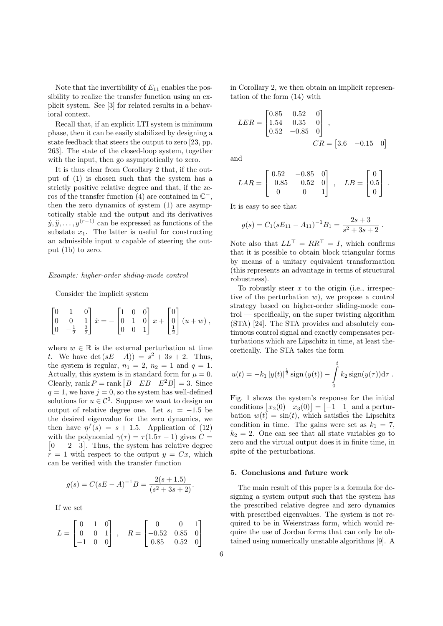Note that the invertibility of  $E_{11}$  enables the possibility to realize the transfer function using an explicit system. See [3] for related results in a behavioral context.

Recall that, if an explicit LTI system is minimum phase, then it can be easily stabilized by designing a state feedback that steers the output to zero [23, pp. 263]. The state of the closed-loop system, together with the input, then go asymptotically to zero.

It is thus clear from Corollary 2 that, if the output of (1) is chosen such that the system has a strictly positive relative degree and that, if the zeros of the transfer function  $(4)$  are contained in  $\mathbb{C}^-$ , then the zero dynamics of system (1) are asymptotically stable and the output and its derivatives  $\dot{y}, \ddot{y}, \dots, y^{(r-1)}$  can be expressed as functions of the substate  $x_1$ . The latter is useful for constructing an admissible input  $u$  capable of steering the output (1b) to zero.

#### Example: higher-order sliding-mode control

#### Consider the implicit system

$$
\begin{bmatrix} 0 & 1 & 0 \\ 0 & 0 & 1 \\ 0 & -\frac{1}{2} & \frac{3}{2} \end{bmatrix} \dot{x} = -\begin{bmatrix} 1 & 0 & 0 \\ 0 & 1 & 0 \\ 0 & 0 & 1 \end{bmatrix} x + \begin{bmatrix} 0 \\ 0 \\ \frac{1}{2} \end{bmatrix} (u+w) ,
$$

where  $w \in \mathbb{R}$  is the external perturbation at time t. We have  $\det(sE - A) = s^2 + 3s + 2$ . Thus, the system is regular,  $n_1 = 2$ ,  $n_2 = 1$  and  $q = 1$ . Actually, this system is in standard form for  $\mu = 0$ . Clearly, rank  $P = \text{rank} [B \quad EB \quad E^2B] = 3$ . Since  $q = 1$ , we have  $j = 0$ , so the system has well-defined solutions for  $u \in \mathcal{C}^0$ . Suppose we want to design an output of relative degree one. Let  $s_1 = -1.5$  be the desired eigenvalue for the zero dynamics, we then have  $\eta^f(s) = s + 1.5$ . Application of (12) with the polynomial  $\gamma(\tau) = \tau(1.5\tau - 1)$  gives  $C =$  $\begin{bmatrix} 0 & -2 & 3 \end{bmatrix}$ . Thus, the system has relative degree  $r = 1$  with respect to the output  $y = Cx$ , which can be verified with the transfer function

$$
g(s) = C(sE - A)^{-1}B = \frac{2(s + 1.5)}{(s^2 + 3s + 2)}.
$$

If we set

$$
L = \begin{bmatrix} 0 & 1 & 0 \\ 0 & 0 & 1 \\ -1 & 0 & 0 \end{bmatrix}, \quad R = \begin{bmatrix} 0 & 0 & 1 \\ -0.52 & 0.85 & 0 \\ 0.85 & 0.52 & 0 \end{bmatrix}
$$

in Corollary 2, we then obtain an implicit representation of the form (14) with

$$
LER = \begin{bmatrix} 0.85 & 0.52 & 0 \\ 1.54 & 0.35 & 0 \\ 0.52 & -0.85 & 0 \end{bmatrix},
$$

$$
CR = \begin{bmatrix} 3.6 & -0.15 & 0 \end{bmatrix}
$$

and

$$
LAR = \begin{bmatrix} 0.52 & -0.85 & 0 \\ -0.85 & -0.52 & 0 \\ 0 & 0 & 1 \end{bmatrix}, \quad LB = \begin{bmatrix} 0 \\ 0.5 \\ 0 \end{bmatrix}.
$$

It is easy to see that

$$
g(s) = C_1(sE_{11} - A_{11})^{-1}B_1 = \frac{2s+3}{s^2+3s+2}
$$

.

Note also that  $LL^{\top} = RR^{\top} = I$ , which confirms that it is possible to obtain block triangular forms by means of a unitary equivalent transformation (this represents an advantage in terms of structural robustness).

To robustly steer  $x$  to the origin (i.e., irrespective of the perturbation  $w$ ), we propose a control strategy based on higher-order sliding-mode control — specifically, on the super twisting algorithm (STA) [24]. The STA provides and absolutely continuous control signal and exactly compensates perturbations which are Lipschitz in time, at least theoretically. The STA takes the form

$$
u(t) = -k_1 |y(t)|^{\frac{1}{2}} \operatorname{sign}(y(t)) - \int_{0}^{t} k_2 \operatorname{sign}(y(\tau)) d\tau.
$$

Fig. 1 shows the system's response for the initial conditions  $[x_2(0) \quad x_3(0)]=\begin{bmatrix} -1 & 1 \end{bmatrix}$  and a perturbation  $w(t) = \sin(t)$ , which satisfies the Lipschitz condition in time. The gains were set as  $k_1 = 7$ ,  $k_2 = 2$ . One can see that all state variables go to zero and the virtual output does it in finite time, in spite of the perturbations.

## 5. Conclusions and future work

The main result of this paper is a formula for designing a system output such that the system has the prescribed relative degree and zero dynamics with prescribed eigenvalues. The system is not required to be in Weierstrass form, which would require the use of Jordan forms that can only be obtained using numerically unstable algorithms [9]. A